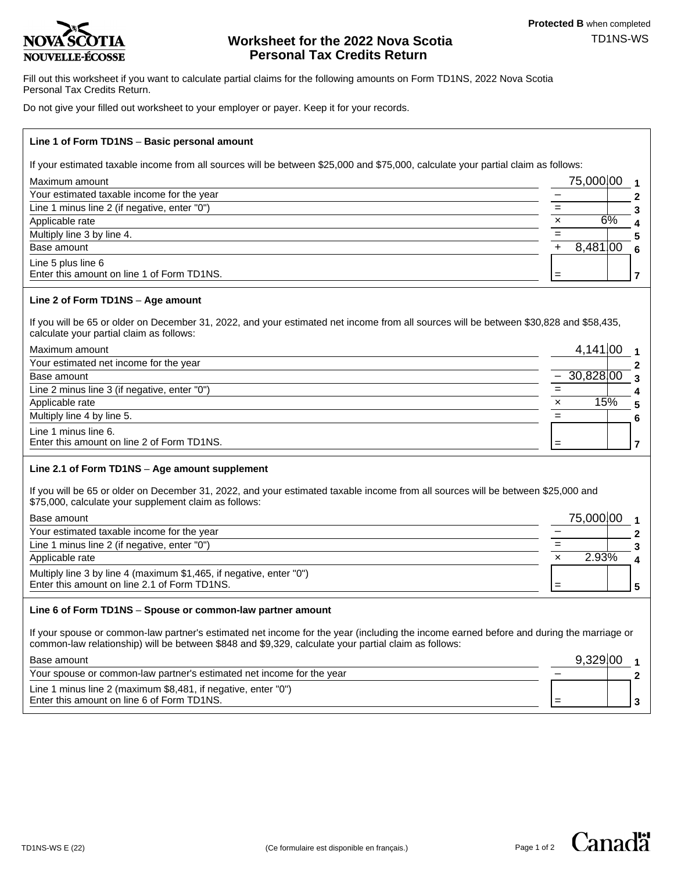

# **Worksheet for the 2022 Nova Scotia** TD1NS-WS **Personal Tax Credits Return**

Fill out this worksheet if you want to calculate partial claims for the following amounts on Form TD1NS, 2022 Nova Scotia Personal Tax Credits Return.

Do not give your filled out worksheet to your employer or payer. Keep it for your records.

# **Line 1 of Form TD1NS** – **Basic personal amount**

If your estimated taxable income from all sources will be between \$25,000 and \$75,000, calculate your partial claim as follows:

| Maximum amount                                                   |   | 75,000,00 |  |
|------------------------------------------------------------------|---|-----------|--|
| Your estimated taxable income for the year                       |   |           |  |
| Line 1 minus line 2 (if negative, enter "0")                     |   |           |  |
| Applicable rate                                                  | × | 6%        |  |
| Multiply line 3 by line 4.                                       |   |           |  |
| Base amount                                                      |   | 8,481,00  |  |
| Line 5 plus line 6<br>Enter this amount on line 1 of Form TD1NS. |   |           |  |

# **Line 2 of Form TD1NS** – **Age amount**

If you will be 65 or older on December 31, 2022, and your estimated net income from all sources will be between \$30,828 and \$58,435, calculate your partial claim as follows:

| Maximum amount                                                     |   | 4,141,00     |   |
|--------------------------------------------------------------------|---|--------------|---|
| Your estimated net income for the year                             |   |              |   |
| Base amount                                                        |   | $-30,828100$ |   |
| Line 2 minus line 3 (if negative, enter "0")                       |   |              |   |
| Applicable rate                                                    | × | 15%          | 5 |
| Multiply line 4 by line 5.                                         |   |              |   |
| Line 1 minus line 6.<br>Enter this amount on line 2 of Form TD1NS. |   |              |   |

# **Line 2.1 of Form TD1NS** – **Age amount supplement**

If you will be 65 or older on December 31, 2022, and your estimated taxable income from all sources will be between \$25,000 and \$75,000, calculate your supplement claim as follows:

| Base amount                                                         | 75,000,00 |  |
|---------------------------------------------------------------------|-----------|--|
| Your estimated taxable income for the year                          |           |  |
| Line 1 minus line 2 (if negative, enter "0")                        |           |  |
| Applicable rate                                                     | 2.93%     |  |
| Multiply line 3 by line 4 (maximum \$1,465, if negative, enter "0") |           |  |
| Enter this amount on line 2.1 of Form TD1NS.                        |           |  |
|                                                                     |           |  |

# **Line 6 of Form TD1NS** – **Spouse or common-law partner amount**

If your spouse or common-law partner's estimated net income for the year (including the income earned before and during the marriage or common-law relationship) will be between \$848 and \$9,329, calculate your partial claim as follows: 9,329.00

| Base amount                                                           |  |  |
|-----------------------------------------------------------------------|--|--|
| Your spouse or common-law partner's estimated net income for the year |  |  |
| Line 1 minus line 2 (maximum \$8,481, if negative, enter "0")         |  |  |
| Enter this amount on line 6 of Form TD1NS.                            |  |  |
|                                                                       |  |  |